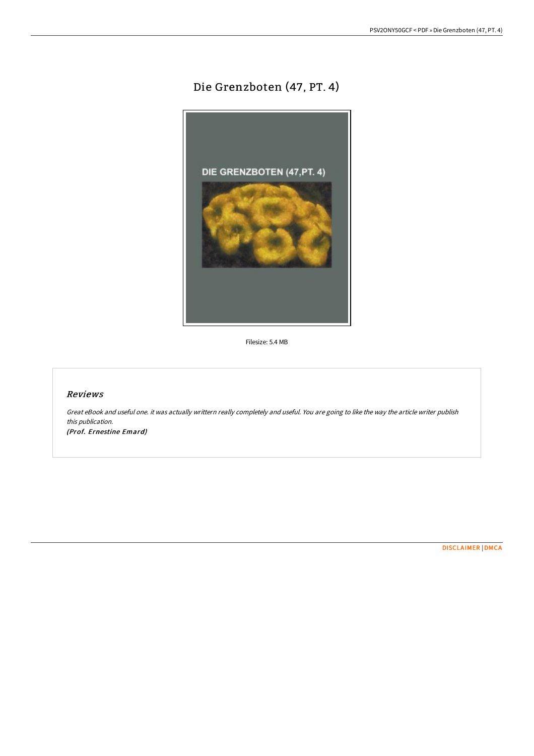# Die Grenzboten (47, PT. 4)



Filesize: 5.4 MB

## Reviews

Great eBook and useful one. it was actually writtern really completely and useful. You are going to like the way the article writer publish this publication. (Prof. Ernestine Emard)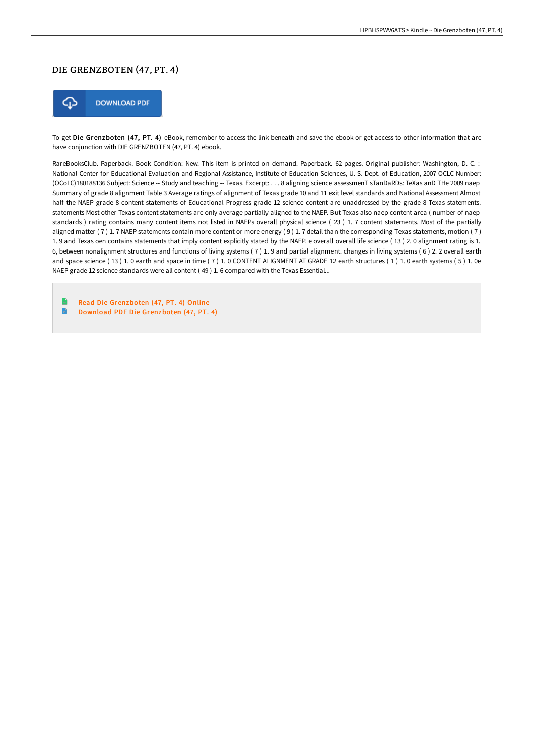## DIE GRENZBOTEN (47 , PT. 4)



To get Die Grenzboten (47, PT. 4) eBook, remember to access the link beneath and save the ebook or get access to other information that are have conjunction with DIE GRENZBOTEN (47, PT. 4) ebook.

RareBooksClub. Paperback. Book Condition: New. This item is printed on demand. Paperback. 62 pages. Original publisher: Washington, D. C. : National Center for Educational Evaluation and Regional Assistance, Institute of Education Sciences, U. S. Dept. of Education, 2007 OCLC Number: (OCoLC)180188136 Subject: Science -- Study and teaching -- Texas. Excerpt: . . . 8 aligning science assessmenT sTanDaRDs: TeXas anD THe 2009 naep Summary of grade 8 alignment Table 3 Average ratings of alignment of Texas grade 10 and 11 exit level standards and National Assessment Almost half the NAEP grade 8 content statements of Educational Progress grade 12 science content are unaddressed by the grade 8 Texas statements. statements Most other Texas content statements are only average partially aligned to the NAEP. But Texas also naep content area ( number of naep standards ) rating contains many content items not listed in NAEPs overall physical science ( 23 ) 1. 7 content statements. Most of the partially aligned matter ( 7 ) 1. 7 NAEP statements contain more content or more energy ( 9 ) 1. 7 detail than the corresponding Texas statements, motion ( 7 ) 1. 9 and Texas oen contains statements that imply content explicitly stated by the NAEP. e overall overall life science ( 13 ) 2. 0 alignment rating is 1. 6, between nonalignment structures and functions of living systems ( 7 ) 1. 9 and partial alignment. changes in living systems ( 6 ) 2. 2 overall earth and space science (13) 1. 0 earth and space in time (7) 1. 0 CONTENT ALIGNMENT AT GRADE 12 earth structures (1) 1. 0 earth systems (5) 1. 0e NAEP grade 12 science standards were all content ( 49 ) 1. 6 compared with the Texas Essential...

Read Die [Grenzboten](http://www.bookdirs.com/die-grenzboten-47-pt-4.html) (47, PT. 4) Online R Download PDF Die [Grenzboten](http://www.bookdirs.com/die-grenzboten-47-pt-4.html) (47, PT. 4)